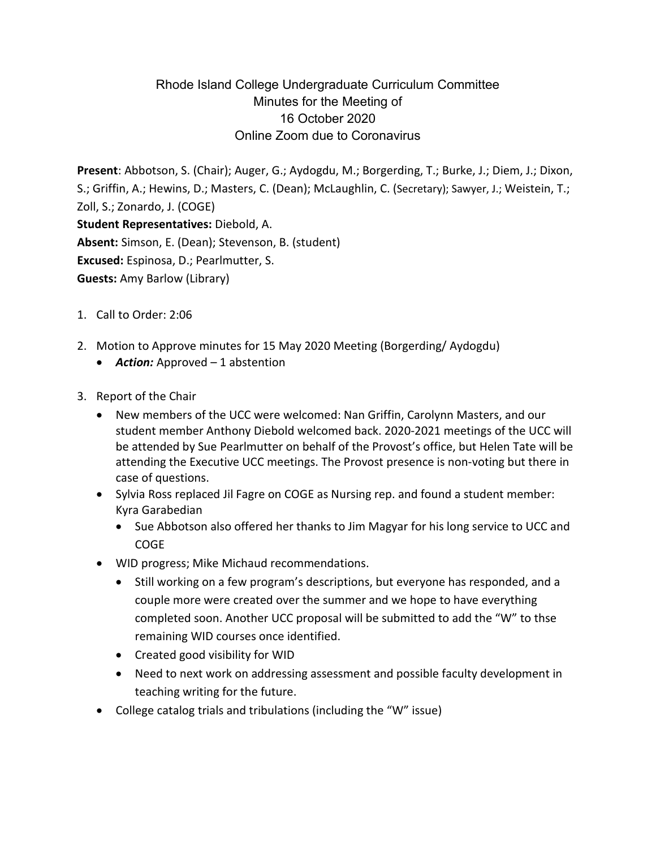## Rhode Island College Undergraduate Curriculum Committee Minutes for the Meeting of 16 October 2020 Online Zoom due to Coronavirus

**Present**: Abbotson, S. (Chair); Auger, G.; Aydogdu, M.; Borgerding, T.; Burke, J.; Diem, J.; Dixon, S.; Griffin, A.; Hewins, D.; Masters, C. (Dean); McLaughlin, C. (Secretary); Sawyer, J.; Weistein, T.; Zoll, S.; Zonardo, J. (COGE) **Student Representatives:** Diebold, A. **Absent:** Simson, E. (Dean); Stevenson, B. (student) **Excused:** Espinosa, D.; Pearlmutter, S. **Guests:** Amy Barlow (Library)

- 1. Call to Order: 2:06
- 2. Motion to Approve minutes for 15 May 2020 Meeting (Borgerding/ Aydogdu)
	- *Action:* Approved 1 abstention
- 3. Report of the Chair
	- New members of the UCC were welcomed: Nan Griffin, Carolynn Masters, and our student member Anthony Diebold welcomed back. 2020-2021 meetings of the UCC will be attended by Sue Pearlmutter on behalf of the Provost's office, but Helen Tate will be attending the Executive UCC meetings. The Provost presence is non-voting but there in case of questions.
	- Sylvia Ross replaced Jil Fagre on COGE as Nursing rep. and found a student member: Kyra Garabedian
		- Sue Abbotson also offered her thanks to Jim Magyar for his long service to UCC and COGE
	- WID progress; Mike Michaud recommendations.
		- Still working on a few program's descriptions, but everyone has responded, and a couple more were created over the summer and we hope to have everything completed soon. Another UCC proposal will be submitted to add the "W" to thse remaining WID courses once identified.
		- Created good visibility for WID
		- Need to next work on addressing assessment and possible faculty development in teaching writing for the future.
	- College catalog trials and tribulations (including the "W" issue)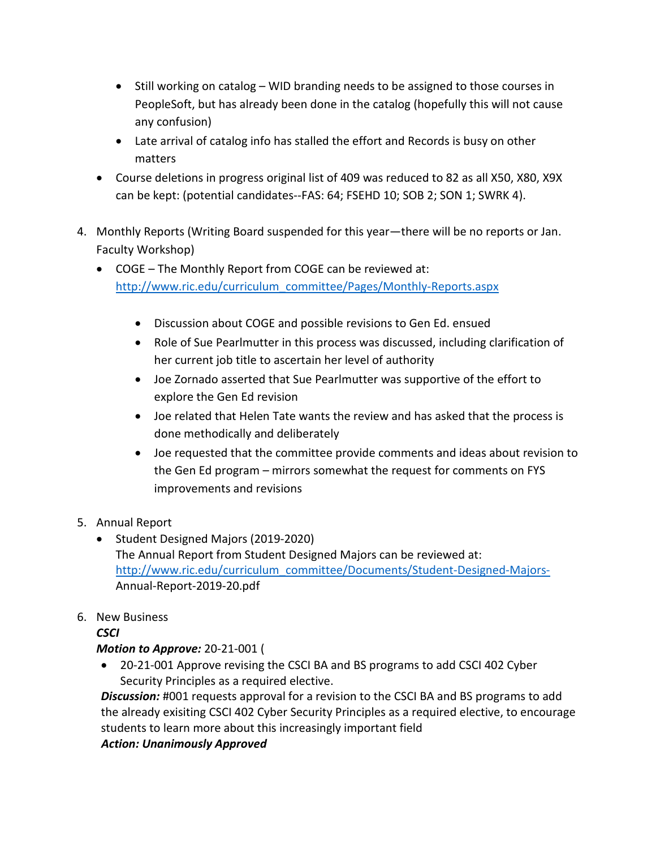- Still working on catalog WID branding needs to be assigned to those courses in PeopleSoft, but has already been done in the catalog (hopefully this will not cause any confusion)
- Late arrival of catalog info has stalled the effort and Records is busy on other matters
- Course deletions in progress original list of 409 was reduced to 82 as all X50, X80, X9X can be kept: (potential candidates--FAS: 64; FSEHD 10; SOB 2; SON 1; SWRK 4).
- 4. Monthly Reports (Writing Board suspended for this year—there will be no reports or Jan. Faculty Workshop)
	- COGE The Monthly Report from COGE can be reviewed at: [http://www.ric.edu/curriculum\\_committee/Pages/Monthly-Reports.aspx](http://www.ric.edu/curriculum_committee/Pages/Monthly-Reports.aspx)
		- Discussion about COGE and possible revisions to Gen Ed. ensued
		- Role of Sue Pearlmutter in this process was discussed, including clarification of her current job title to ascertain her level of authority
		- Joe Zornado asserted that Sue Pearlmutter was supportive of the effort to explore the Gen Ed revision
		- Joe related that Helen Tate wants the review and has asked that the process is done methodically and deliberately
		- Joe requested that the committee provide comments and ideas about revision to the Gen Ed program – mirrors somewhat the request for comments on FYS improvements and revisions
- 5. Annual Report
	- Student Designed Majors (2019-2020) The Annual Report from Student Designed Majors can be reviewed at: [http://www.ric.edu/curriculum\\_committee/Documents/Student-Designed-Majors-](http://www.ric.edu/curriculum_committee/Documents/Student-Designed-Majors-)Annual-Report-2019-20.pdf
- 6. New Business

## *CSCI*

## *Motion to Approve:* 20-21-001 (

• 20-21-001 Approve revising the CSCI BA and BS programs to add CSCI 402 Cyber Security Principles as a required elective.

**Discussion:** #001 requests approval for a revision to the CSCI BA and BS programs to add the already exisiting CSCI 402 Cyber Security Principles as a required elective, to encourage students to learn more about this increasingly important field

*Action: Unanimously Approved*